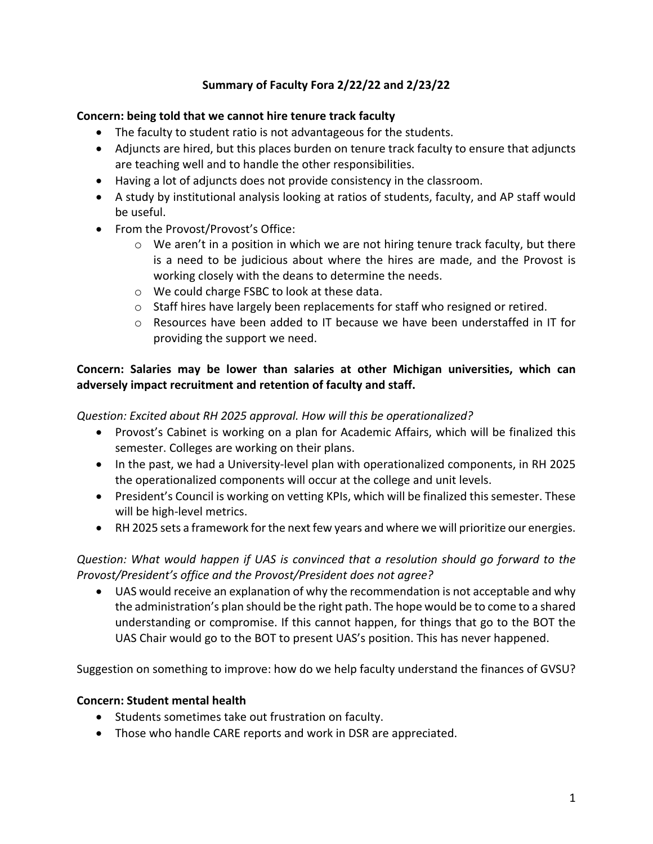### **Summary of Faculty Fora 2/22/22 and 2/23/22**

#### **Concern: being told that we cannot hire tenure track faculty**

- The faculty to student ratio is not advantageous for the students.
- Adjuncts are hired, but this places burden on tenure track faculty to ensure that adjuncts are teaching well and to handle the other responsibilities.
- Having a lot of adjuncts does not provide consistency in the classroom.
- A study by institutional analysis looking at ratios of students, faculty, and AP staff would be useful.
- From the Provost/Provost's Office:
	- $\circ$  We aren't in a position in which we are not hiring tenure track faculty, but there is a need to be judicious about where the hires are made, and the Provost is working closely with the deans to determine the needs.
	- o We could charge FSBC to look at these data.
	- $\circ$  Staff hires have largely been replacements for staff who resigned or retired.
	- o Resources have been added to IT because we have been understaffed in IT for providing the support we need.

## **Concern: Salaries may be lower than salaries at other Michigan universities, which can adversely impact recruitment and retention of faculty and staff.**

*Question: Excited about RH 2025 approval. How will this be operationalized?*

- Provost's Cabinet is working on a plan for Academic Affairs, which will be finalized this semester. Colleges are working on their plans.
- In the past, we had a University-level plan with operationalized components, in RH 2025 the operationalized components will occur at the college and unit levels.
- President's Council is working on vetting KPIs, which will be finalized this semester. These will be high-level metrics.
- RH 2025 sets a framework for the next few years and where we will prioritize our energies.

*Question: What would happen if UAS is convinced that a resolution should go forward to the Provost/President's office and the Provost/President does not agree?*

• UAS would receive an explanation of why the recommendation is not acceptable and why the administration's plan should be the right path. The hope would be to come to a shared understanding or compromise. If this cannot happen, for things that go to the BOT the UAS Chair would go to the BOT to present UAS's position. This has never happened.

Suggestion on something to improve: how do we help faculty understand the finances of GVSU?

#### **Concern: Student mental health**

- Students sometimes take out frustration on faculty.
- Those who handle CARE reports and work in DSR are appreciated.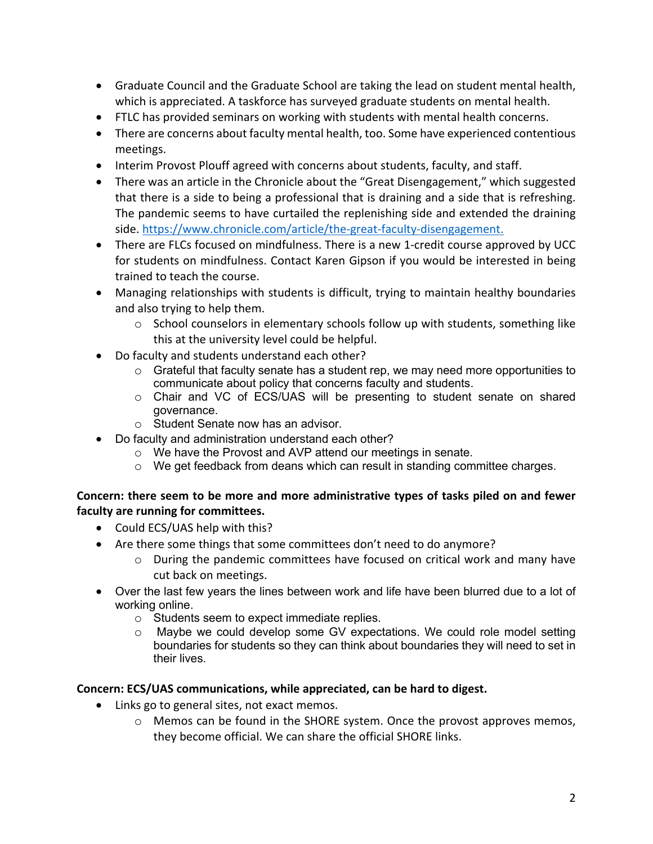- Graduate Council and the Graduate School are taking the lead on student mental health, which is appreciated. A taskforce has surveyed graduate students on mental health.
- FTLC has provided seminars on working with students with mental health concerns.
- There are concerns about faculty mental health, too. Some have experienced contentious meetings.
- Interim Provost Plouff agreed with concerns about students, faculty, and staff.
- There was an article in the Chronicle about the "Great Disengagement," which suggested that there is a side to being a professional that is draining and a side that is refreshing. The pandemic seems to have curtailed the replenishing side and extended the draining side. https://www.chronicle.com/article/the-great-faculty-disengagement.
- There are FLCs focused on mindfulness. There is a new 1-credit course approved by UCC for students on mindfulness. Contact Karen Gipson if you would be interested in being trained to teach the course.
- Managing relationships with students is difficult, trying to maintain healthy boundaries and also trying to help them.
	- $\circ$  School counselors in elementary schools follow up with students, something like this at the university level could be helpful.
- Do faculty and students understand each other?
	- o Grateful that faculty senate has a student rep, we may need more opportunities to communicate about policy that concerns faculty and students.
	- o Chair and VC of ECS/UAS will be presenting to student senate on shared governance.
	- o Student Senate now has an advisor.
- Do faculty and administration understand each other?
	- o We have the Provost and AVP attend our meetings in senate.
	- $\circ$  We get feedback from deans which can result in standing committee charges.

## **Concern: there seem to be more and more administrative types of tasks piled on and fewer faculty are running for committees.**

- Could ECS/UAS help with this?
- Are there some things that some committees don't need to do anymore?
	- $\circ$  During the pandemic committees have focused on critical work and many have cut back on meetings.
- Over the last few years the lines between work and life have been blurred due to a lot of working online.
	- o Students seem to expect immediate replies.
	- o Maybe we could develop some GV expectations. We could role model setting boundaries for students so they can think about boundaries they will need to set in their lives.

# **Concern: ECS/UAS communications, while appreciated, can be hard to digest.**

- Links go to general sites, not exact memos.
	- o Memos can be found in the SHORE system. Once the provost approves memos, they become official. We can share the official SHORE links.